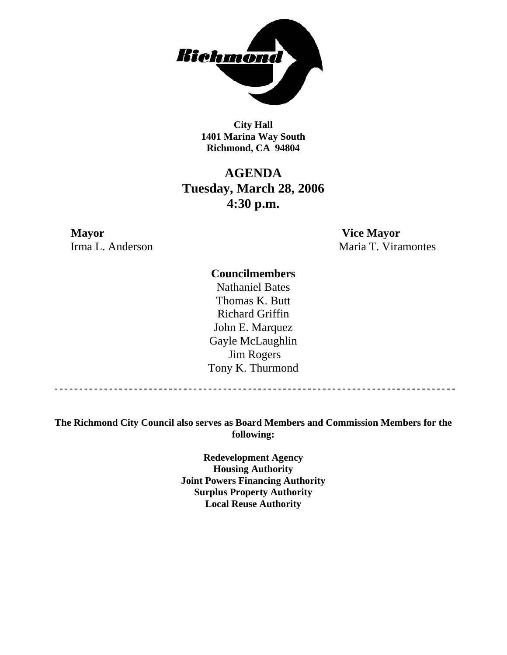

**City Hall 1401 Marina Way South Richmond, CA 94804** 

# **AGENDA Tuesday, March 28, 2006 4:30 p.m.**

**Mayor Vice Mayor** 

Irma L. Anderson Maria T. Viramontes

### **Councilmembers**

Nathaniel Bates Thomas K. Butt Richard Griffin John E. Marquez Gayle McLaughlin Jim Rogers Tony K. Thurmond

------------------------------------

**The Richmond City Council also serves as Board Members and Commission Members for the following:** 

> **Redevelopment Agency Housing Authority Joint Powers Financing Authority Surplus Property Authority Local Reuse Authority**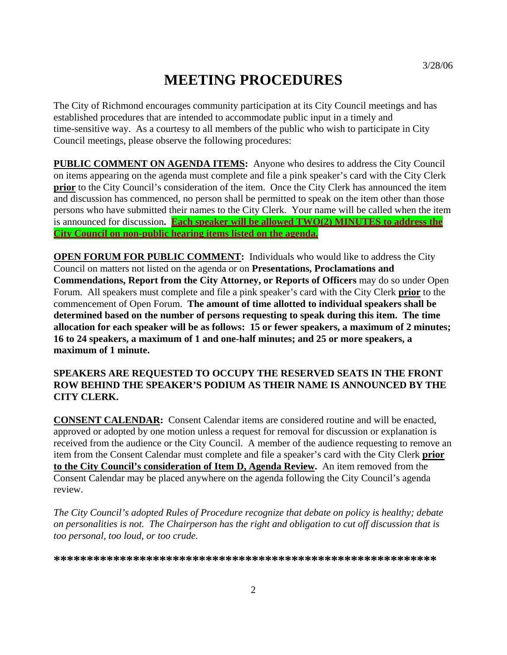# **MEETING PROCEDURES**

The City of Richmond encourages community participation at its City Council meetings and has established procedures that are intended to accommodate public input in a timely and time-sensitive way. As a courtesy to all members of the public who wish to participate in City Council meetings, please observe the following procedures:

**PUBLIC COMMENT ON AGENDA ITEMS:** Anyone who desires to address the City Council on items appearing on the agenda must complete and file a pink speaker's card with the City Clerk **prior** to the City Council's consideration of the item. Once the City Clerk has announced the item and discussion has commenced, no person shall be permitted to speak on the item other than those persons who have submitted their names to the City Clerk. Your name will be called when the item is announced for discussion**. Each speaker will be allowed TWO(2) MINUTES to address the City Council on non-public hearing items listed on the agenda.**

**OPEN FORUM FOR PUBLIC COMMENT:** Individuals who would like to address the City Council on matters not listed on the agenda or on **Presentations, Proclamations and Commendations, Report from the City Attorney, or Reports of Officers** may do so under Open Forum. All speakers must complete and file a pink speaker's card with the City Clerk **prior** to the commencement of Open Forum. **The amount of time allotted to individual speakers shall be determined based on the number of persons requesting to speak during this item. The time allocation for each speaker will be as follows: 15 or fewer speakers, a maximum of 2 minutes; 16 to 24 speakers, a maximum of 1 and one-half minutes; and 25 or more speakers, a maximum of 1 minute.** 

### **SPEAKERS ARE REQUESTED TO OCCUPY THE RESERVED SEATS IN THE FRONT ROW BEHIND THE SPEAKER'S PODIUM AS THEIR NAME IS ANNOUNCED BY THE CITY CLERK.**

**CONSENT CALENDAR:** Consent Calendar items are considered routine and will be enacted, approved or adopted by one motion unless a request for removal for discussion or explanation is received from the audience or the City Council. A member of the audience requesting to remove an item from the Consent Calendar must complete and file a speaker's card with the City Clerk **prior to the City Council's consideration of Item D, Agenda Review.** An item removed from the Consent Calendar may be placed anywhere on the agenda following the City Council's agenda review.

*The City Council's adopted Rules of Procedure recognize that debate on policy is healthy; debate on personalities is not. The Chairperson has the right and obligation to cut off discussion that is too personal, too loud, or too crude.* 

**\*\*\*\*\*\*\*\*\*\*\*\*\*\*\*\*\*\*\*\*\*\*\*\*\*\*\*\*\*\*\*\*\*\*\*\*\*\*\*\*\*\*\*\*\*\*\*\*\*\*\*\*\*\*\*\*\*\***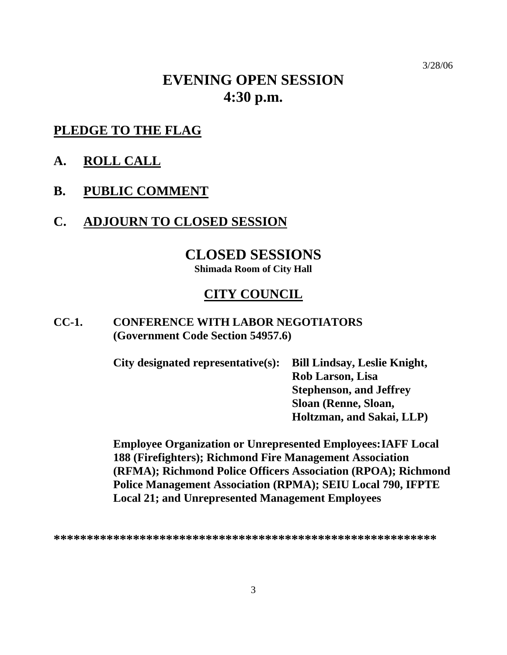# **EVENING OPEN SESSION 4:30 p.m.**

## **PLEDGE TO THE FLAG**

- **A. ROLL CALL**
- **B. PUBLIC COMMENT**
- **C. ADJOURN TO CLOSED SESSION**

## **CLOSED SESSIONS**

**Shimada Room of City Hall** 

## **CITY COUNCIL**

### **CC-1. CONFERENCE WITH LABOR NEGOTIATORS (Government Code Section 54957.6)**

| <b>Bill Lindsay, Leslie Knight,</b> |
|-------------------------------------|
| Rob Larson, Lisa                    |
| <b>Stephenson, and Jeffrey</b>      |
| Sloan (Renne, Sloan,                |
| Holtzman, and Sakai, LLP            |
|                                     |

**Employee Organization or Unrepresented Employees: IAFF Local 188 (Firefighters); Richmond Fire Management Association (RFMA); Richmond Police Officers Association (RPOA); Richmond Police Management Association (RPMA); SEIU Local 790, IFPTE Local 21; and Unrepresented Management Employees** 

**<sup>\*\*\*\*\*\*\*\*\*\*\*\*\*\*\*\*\*\*\*\*\*\*\*\*\*\*\*\*\*\*\*\*\*\*\*\*\*\*\*\*\*\*\*\*\*\*\*\*\*\*\*\*\*\*\*\*\*\*</sup>**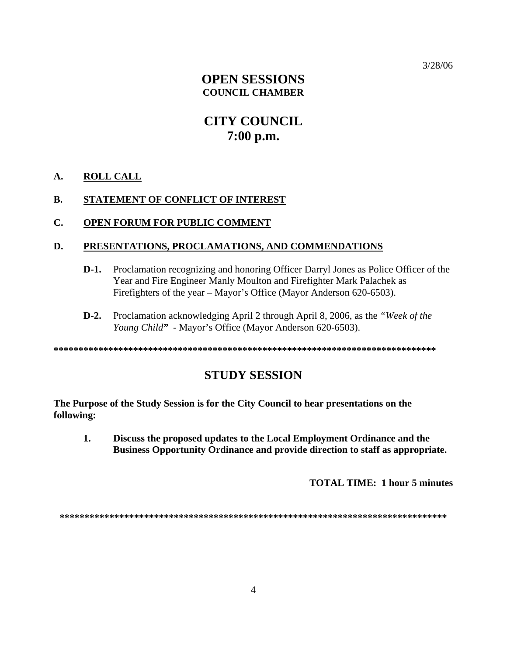## **OPEN SESSIONS COUNCIL CHAMBER**

# **CITY COUNCIL**  $7:00$  p.m.

#### A. **ROLL CALL**

#### **B.** STATEMENT OF CONFLICT OF INTEREST

#### $C_{\bullet}$ **OPEN FORUM FOR PUBLIC COMMENT**

#### D. PRESENTATIONS, PROCLAMATIONS, AND COMMENDATIONS

- $D-1.$ Proclamation recognizing and honoring Officer Darryl Jones as Police Officer of the Year and Fire Engineer Manly Moulton and Firefighter Mark Palachek as Firefighters of the year – Mayor's Office (Mayor Anderson 620-6503).
- Proclamation acknowledging April 2 through April 8, 2006, as the "Week of the  $D-2$ . Young Child" - Mayor's Office (Mayor Anderson 620-6503).

## **STUDY SESSION**

The Purpose of the Study Session is for the City Council to hear presentations on the following:

 $\mathbf{1}$ . Discuss the proposed updates to the Local Employment Ordinance and the Business Opportunity Ordinance and provide direction to staff as appropriate.

**TOTAL TIME: 1 hour 5 minutes**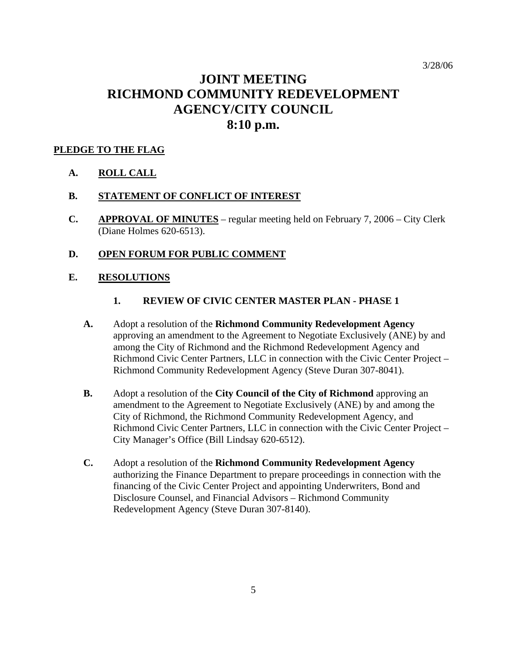# **JOINT MEETING RICHMOND COMMUNITY REDEVELOPMENT AGENCY/CITY COUNCIL 8:10 p.m.**

### **PLEDGE TO THE FLAG**

**A. ROLL CALL**

### **B. STATEMENT OF CONFLICT OF INTEREST**

**C. APPROVAL OF MINUTES** – regular meeting held on February 7, 2006 – City Clerk (Diane Holmes 620-6513).

### **D. OPEN FORUM FOR PUBLIC COMMENT**

### **E. RESOLUTIONS**

- **1. REVIEW OF CIVIC CENTER MASTER PLAN PHASE 1**
- **A.** Adopt a resolution of the **Richmond Community Redevelopment Agency**  approving an amendment to the Agreement to Negotiate Exclusively (ANE) by and among the City of Richmond and the Richmond Redevelopment Agency and Richmond Civic Center Partners, LLC in connection with the Civic Center Project – Richmond Community Redevelopment Agency (Steve Duran 307-8041).
- **B.** Adopt a resolution of the **City Council of the City of Richmond** approving an amendment to the Agreement to Negotiate Exclusively (ANE) by and among the City of Richmond, the Richmond Community Redevelopment Agency, and Richmond Civic Center Partners, LLC in connection with the Civic Center Project – City Manager's Office (Bill Lindsay 620-6512).
- **C.** Adopt a resolution of the **Richmond Community Redevelopment Agency**  authorizing the Finance Department to prepare proceedings in connection with the financing of the Civic Center Project and appointing Underwriters, Bond and Disclosure Counsel, and Financial Advisors – Richmond Community Redevelopment Agency (Steve Duran 307-8140).